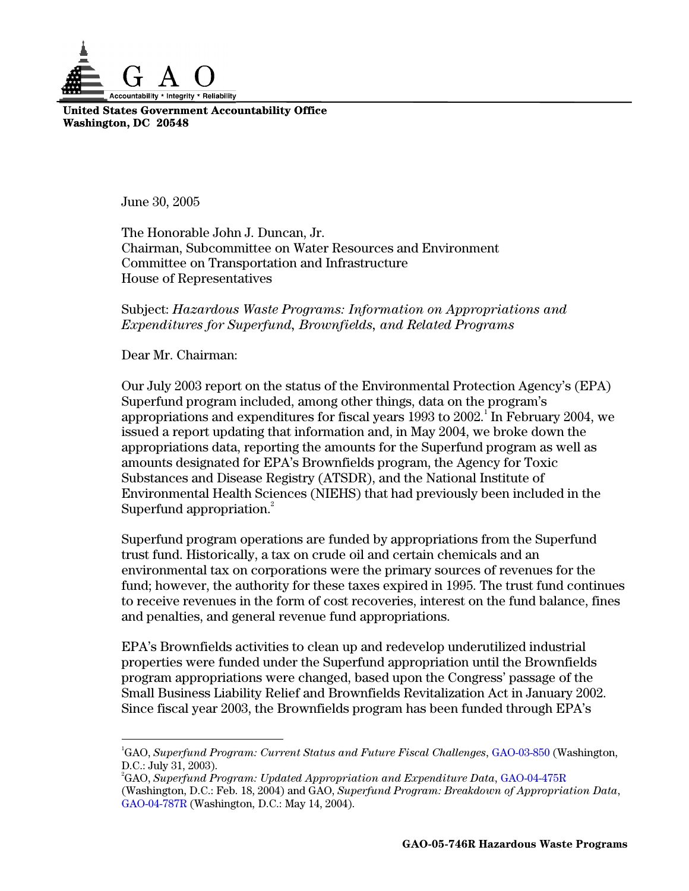

**United States Government Accountability Office Washington, DC 20548** 

June 30, 2005

The Honorable John J. Duncan, Jr. Chairman, Subcommittee on Water Resources and Environment Committee on Transportation and Infrastructure House of Representatives

## Subject: *Hazardous Waste Programs: Information on Appropriations and Expenditures for Superfund, Brownfields, and Related Programs*

Dear Mr. Chairman:

Superfund appropriation.<sup>2</sup> Our July 2003 report on the status of the Environmental Protection Agency's (EPA) Superfund program included, among other things, data on the program's appropriations and expenditures for fiscal years  $1993$  to  $2002.^1$  In February  $2004$ , we issued a report updating that information and, in May 2004, we broke down the appropriations data, reporting the amounts for the Superfund program as well as amounts designated for EPA's Brownfields program, the Agency for Toxic Substances and Disease Registry (ATSDR), and the National Institute of Environmental Health Sciences (NIEHS) that had previously been included in the

Superfund program operations are funded by appropriations from the Superfund trust fund. Historically, a tax on crude oil and certain chemicals and an environmental tax on corporations were the primary sources of revenues for the fund; however, the authority for these taxes expired in 1995. The trust fund continues to receive revenues in the form of cost recoveries, interest on the fund balance, fines and penalties, and general revenue fund appropriations.

EPA's Brownfields activities to clean up and redevelop underutilized industrial properties were funded under the Superfund appropriation until the Brownfields program appropriations were changed, based upon the Congress' passage of the Small Business Liability Relief and Brownfields Revitalization Act in January 2002. Since fiscal year 2003, the Brownfields program has been funded through EPA's

<sup>-</sup>1 GAO, *Superfund Program: Current Status and Future Fiscal Challenges*, [GAO-03-850](http://www.gao.gov/cgi-bin/getrpt?GAO-03-850) (Washington, D.C.: July 31, 2003).

 2 GAO, *Superfund Program: Updated Appropriation and Expenditure Data*, [GAO-04-475R](http://www.gao.gov/cgi-bin/getrpt?GAO-04-475R) (Washington, D.C.: Feb. 18, 2004) and GAO, *Superfund Program: Breakdown of Appropriation Data*, [GAO-04-787R](http://www.gao.gov/cgi-bin/getrpt?GAO-04-787R) (Washington, D.C.: May 14, 2004).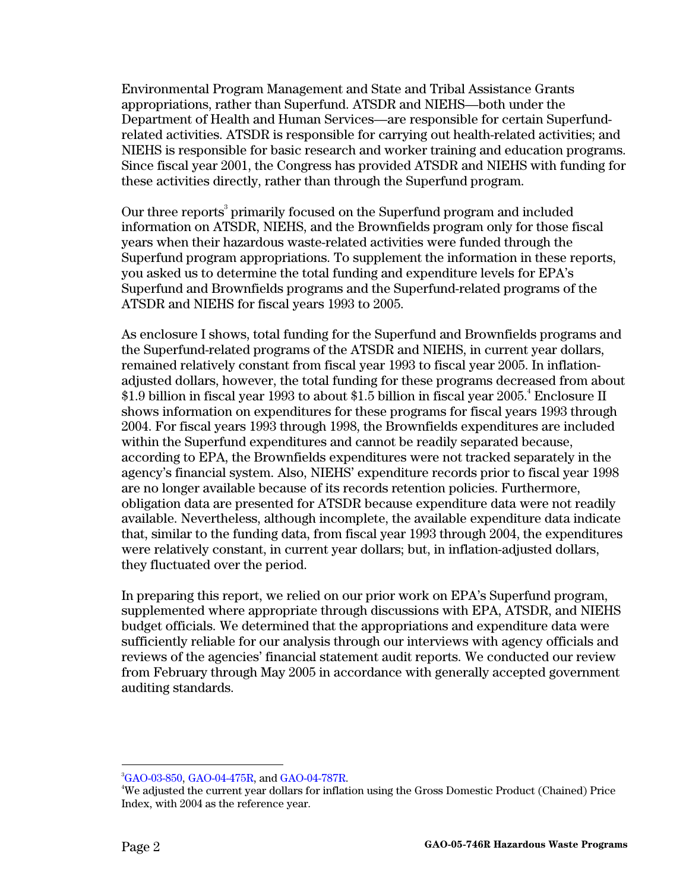these activities directly, rather than through the Superfund program. Environmental Program Management and State and Tribal Assistance Grants appropriations, rather than Superfund. ATSDR and NIEHS—both under the Department of Health and Human Services—are responsible for certain Superfundrelated activities. ATSDR is responsible for carrying out health-related activities; and NIEHS is responsible for basic research and worker training and education programs. Since fiscal year 2001, the Congress has provided ATSDR and NIEHS with funding for

these activities directly, rather than through the Superfund program.<br>Our three reports<sup>3</sup> primarily focused on the Superfund program and included information on ATSDR, NIEHS, and the Brownfields program only for those fiscal years when their hazardous waste-related activities were funded through the Superfund program appropriations. To supplement the information in these reports, you asked us to determine the total funding and expenditure levels for EPA's Superfund and Brownfields programs and the Superfund-related programs of the ATSDR and NIEHS for fiscal years 1993 to 2005.

As enclosure I shows, total funding for the Superfund and Brownfields programs and the Superfund-related programs of the ATSDR and NIEHS, in current year dollars, remained relatively constant from fiscal year 1993 to fiscal year 2005. In inflationadjusted dollars, however, the total funding for these programs decreased from about  $\$1.9$  billion in fiscal year 1993 to about  $\$1.5$  billion in fiscal year 2005. $^4$  Enclosure II shows information on expenditures for these programs for fiscal years 1993 through 2004. For fiscal years 1993 through 1998, the Brownfields expenditures are included within the Superfund expenditures and cannot be readily separated because, according to EPA, the Brownfields expenditures were not tracked separately in the agency's financial system. Also, NIEHS' expenditure records prior to fiscal year 1998 are no longer available because of its records retention policies. Furthermore, obligation data are presented for ATSDR because expenditure data were not readily available. Nevertheless, although incomplete, the available expenditure data indicate that, similar to the funding data, from fiscal year 1993 through 2004, the expenditures were relatively constant, in current year dollars; but, in inflation-adjusted dollars, they fluctuated over the period.

 auditing standards. 3 In preparing this report, we relied on our prior work on EPA's Superfund program, supplemented where appropriate through discussions with EPA, ATSDR, and NIEHS budget officials. We determined that the appropriations and expenditure data were sufficiently reliable for our analysis through our interviews with agency officials and reviews of the agencies' financial statement audit reports. We conducted our review from February through May 2005 in accordance with generally accepted government

 $\overline{a}$ 

 $^{3}$ [GAO-03-850,](http://www.gao.gov/cgi-bin/getrpt?GAO-03-850) [GAO-04-475R,](http://www.gao.gov/cgi-bin/getrpt?GAO-04-475R) and [GAO-04-787R.](http://www.gao.gov/cgi-bin/getrpt?GAO-04-787R)

<sup>4</sup> We adjusted the current year dollars for inflation using the Gross Domestic Product (Chained) Price Index, with 2004 as the reference year.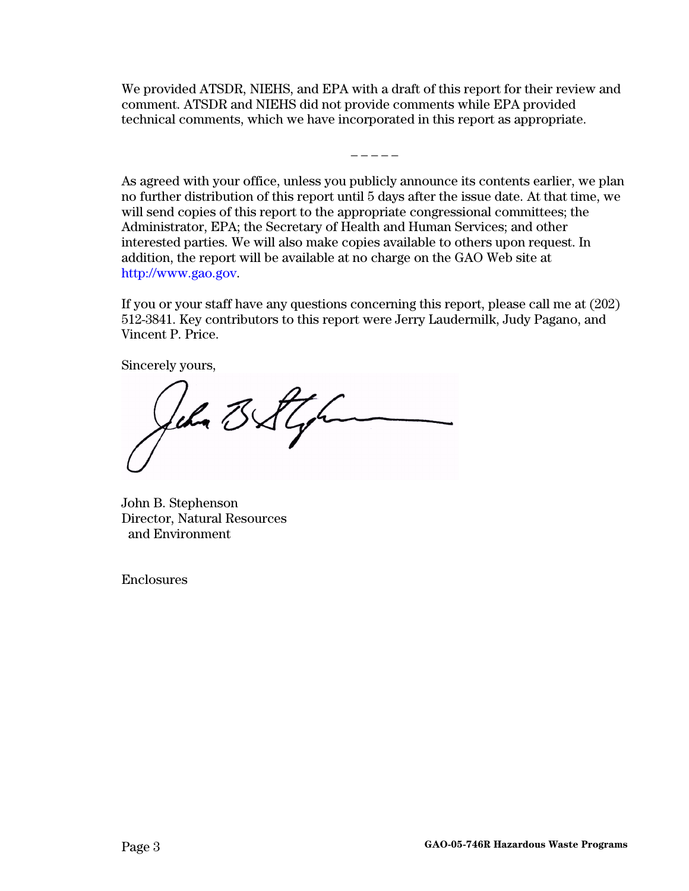We provided ATSDR, NIEHS, and EPA with a draft of this report for their review and comment. ATSDR and NIEHS did not provide comments while EPA provided technical comments, which we have incorporated in this report as appropriate.

 $- - - - -$ 

As agreed with your office, unless you publicly announce its contents earlier, we plan no further distribution of this report until 5 days after the issue date. At that time, we will send copies of this report to the appropriate congressional committees; the Administrator, EPA; the Secretary of Health and Human Services; and other interested parties. We will also make copies available to others upon request. In addition, the report will be available at no charge on the GAO Web site at [http://www.gao.gov.](http://www.gao.gov/)

If you or your staff have any questions concerning this report, please call me at (202) 512-3841. Key contributors to this report were Jerry Laudermilk, Judy Pagano, and Vincent P. Price.

Sincerely yours,

Jehn BStyr

John B. Stephenson Director, Natural Resources and Environment

Enclosures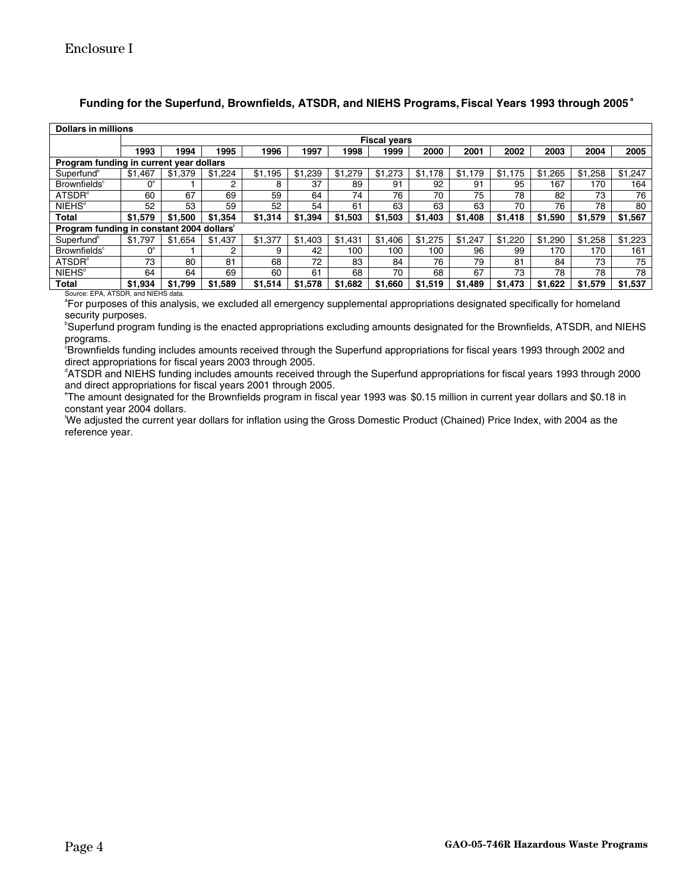## **Funding for the Superfund, Brownfields, ATSDR, and NIEHS Programs, Fiscal Years 1993 through 2005<sup>a</sup>**

| <b>Dollars in millions</b>                |                     |         |         |         |               |         |         |         |         |         |         |         |         |
|-------------------------------------------|---------------------|---------|---------|---------|---------------|---------|---------|---------|---------|---------|---------|---------|---------|
|                                           | <b>Fiscal years</b> |         |         |         |               |         |         |         |         |         |         |         |         |
|                                           | 1993                | 1994    | 1995    | 1996    | 1997          | 1998    | 1999    | 2000    | 2001    | 2002    | 2003    | 2004    | 2005    |
| Program funding in current year dollars   |                     |         |         |         |               |         |         |         |         |         |         |         |         |
| Superfund <sup>b</sup>                    | \$1,467             | \$1,379 | \$1,224 | \$1,195 | \$1,239       | \$1,279 | \$1,273 | \$1.178 | \$1.179 | \$1,175 | \$1,265 | \$1,258 | \$1,247 |
| <b>Brownfields</b> <sup>c</sup>           | $0^{\circ}$         |         | 2       | 8       | 37            | 89      | 91      | 92      | 91      | 95      | 167     | 170     | 164     |
| ATSDR <sup>d</sup>                        | 60                  | 67      | 69      | 59      | 64            | 74      | 76      | 70      | 75      | 78      | 82      | 73      | 76      |
| <b>NIEHS<sup>®</sup></b>                  | 52                  | 53      | 59      | 52      | 54            | 61      | 63      | 63      | 63      | 70      | 76      | 78      | 80      |
| <b>Total</b>                              | \$1.579             | \$1.500 | \$1.354 | \$1.314 | \$1<br>394. ا | \$1.503 | \$1,503 | \$1,403 | \$1,408 | \$1.418 | \$1,590 | \$1,579 | \$1,567 |
| Program funding in constant 2004 dollars' |                     |         |         |         |               |         |         |         |         |         |         |         |         |
| Superfund <sup>b</sup>                    | \$1.797             | \$1.654 | \$1.437 | \$1,377 | \$1.403       | \$1.431 | \$1.406 | \$1,275 | \$1.247 | \$1.220 | \$1,290 | \$1,258 | \$1,223 |
| <b>Brownfields</b> <sup>c</sup>           | $0^{\circ}$         |         | 2       | 9       | 42            | 100     | 100     | 100     | 96      | 99      | 170     | 170     | 161     |
| ATSDR <sup>d</sup>                        | 73                  | 80      | 81      | 68      | 72            | 83      | 84      | 76      | 79      | 81      | 84      | 73      | 75      |
| <b>NIEHS<sup>d</sup></b>                  | 64                  | 64      | 69      | 60      | 61            | 68      | 70      | 68      | 67      | 73      | 78      | 78      | 78      |
| <b>Total</b>                              | \$1.934             | \$1.799 | \$1.589 | \$1.514 | \$1.578       | \$1.682 | \$1,660 | \$1.519 | \$1,489 | \$1.473 | \$1.622 | \$1.579 | \$1,537 |

source: EPA, ATSDR, and NIEHS data.<br>°For purposes of this analysis, we excluded all emergency supplemental appropriations designated specifically for homeland security purposes.

b Superfund program funding is the enacted appropriations excluding amounts designated for the Brownfields, ATSDR, and NIEHS

programs.<br>°Brownfields funding includes amounts received through the Superfund appropriations for fiscal years 1993 through 2002 and direct appropriations for fiscal years 2003 through 2005.

 d ATSDR and NIEHS funding includes amounts received through the Superfund appropriations for fiscal years 1993 through 2000 and direct appropriations for fiscal years 2001 through 2005.

 e The amount designated for the Brownfields program in fiscal year 1993 was \$0.15 million in current year dollars and \$0.18 in constant year 2004 dollars.

 f We adjusted the current year dollars for inflation using the Gross Domestic Product (Chained) Price Index, with 2004 as the reference year.